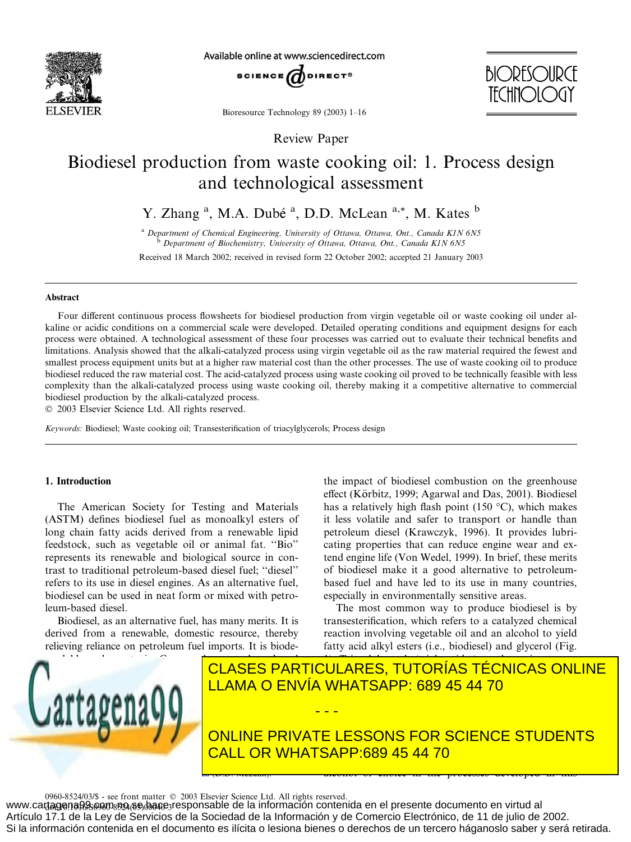

Available online at www.sciencedirect.com



**BIORESOURCE TFCHNOIC** 

Bioresource Technology 89 (2003) 1–16

Review Paper

# Biodiesel production from waste cooking oil: 1. Process design and technological assessment

Y. Zhang <sup>a</sup>, M.A. Dubé <sup>a</sup>, D.D. McLean <sup>a,\*</sup>, M. Kates <sup>b</sup>

<sup>a</sup> Department of Chemical Engineering, University of Ottawa, Ottawa, Ont., Canada K1N 6N5 <sup>b</sup> Department of Biochemistry, University of Ottawa, Ottawa, Ont., Canada K1N 6N5

Received 18 March 2002; received in revised form 22 October 2002; accepted 21 January 2003

### Abstract

Four different continuous process flowsheets for biodiesel production from virgin vegetable oil or waste cooking oil under alkaline or acidic conditions on a commercial scale were developed. Detailed operating conditions and equipment designs for each process were obtained. A technological assessment of these four processes was carried out to evaluate their technical benefits and limitations. Analysis showed that the alkali-catalyzed process using virgin vegetable oil as the raw material required the fewest and smallest process equipment units but at a higher raw material cost than the other processes. The use of waste cooking oil to produce biodiesel reduced the raw material cost. The acid-catalyzed process using waste cooking oil proved to be technically feasible with less complexity than the alkali-catalyzed process using waste cooking oil, thereby making it a competitive alternative to commercial biodiesel production by the alkali-catalyzed process.

2003 Elsevier Science Ltd. All rights reserved.

Keywords: Biodiesel; Waste cooking oil; Transesterification of triacylglycerols; Process design

### 1. Introduction

The American Society for Testing and Materials (ASTM) defines biodiesel fuel as monoalkyl esters of long chain fatty acids derived from a renewable lipid feedstock, such as vegetable oil or animal fat. ''Bio'' represents its renewable and biological source in contrast to traditional petroleum-based diesel fuel; ''diesel'' refers to its use in diesel engines. As an alternative fuel, biodiesel can be used in neat form or mixed with petroleum-based diesel.

Biodiesel, as an alternative fuel, has many merits. It is derived from a renewable, domestic resource, thereby relieving reliance on petroleum fuel imports. It is biode-

E-mail address: mclean address: mcleaning.



The most common way to produce biodiesel is by transesterification, which refers to a catalyzed chemical reaction involving vegetable oil and an alcohol to yield fatty acid alkyl esters (i.e., biodiesel) and glycerol (Fig.

 $\frac{1}{1}$ . Triacylice  $\frac{1}{1}$ . Triacylice  $\frac{1}{1}$ . Triacylice  $\frac{1}{1}$ 

alcohol of choice in the processes developed in this



emission profile, such as low emissions of carbon mono-carbon mono-carbon mon-carbon mon-carbon mon-carbon mon-<u>CLASES PARTICULARES, TUTORÍAS TÉCNICAS ONLINE</u> fatty acid chains are released from the glycerol skeleton ONLINE PRIVATE LESSONS FOR SCIENCE STUDENTS is produced as a by-product. Method is the most control in the most control is the most control in the most co<br>Support the most control is the most control in the most control in the most control in the most control in th common ly used alcohol because of its low cost and its low cost and its low cost and its low cost and its low cost and its low cost and its low control its low control its low control its low control its low control its lo \* CALL OR WHATSAPP:689 45 44 70. بالمستقدم المستقدم المستقدم المستقدم المستقدم المستقدم المستقدم المستقدم المس - - -

0960-8524/03/\$ - see front matter © 2003 Elsevier Science Ltd. All rights reserved. www.cartagena89.com no se hace responsable de la información contenida en el presente documento en virtud al Artículo 17.1 de la Ley de Servicios de la Sociedad de la Información y de Comercio Electrónico, de 11 de julio de 2002. Si la información contenida en el documento es ilícita o lesiona bienes o derechos de un tercero háganoslo saber y será retirada.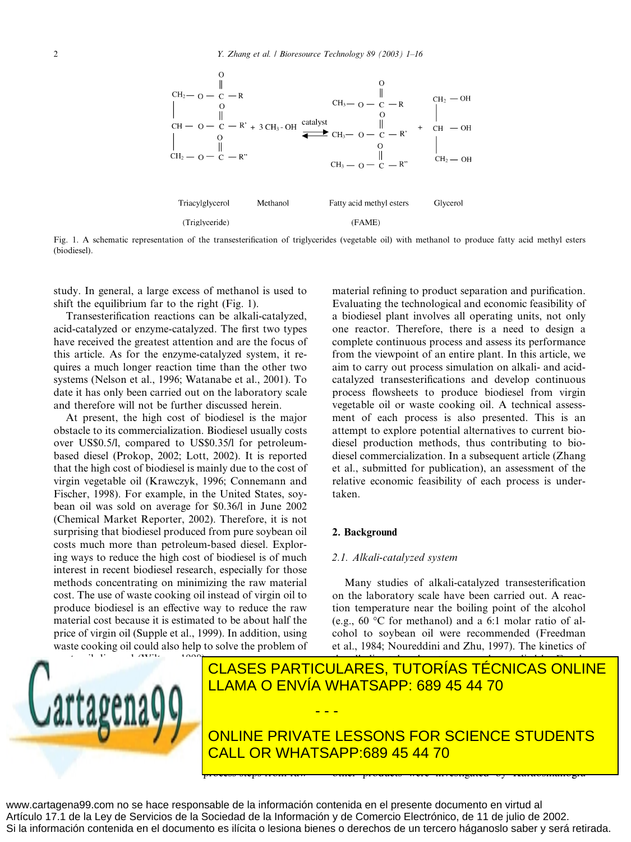

Fig. 1. A schematic representation of the transesterification of triglycerides (vegetable oil) with methanol to produce fatty acid methyl esters (biodiesel).

study. In general, a large excess of methanol is used to shift the equilibrium far to the right (Fig. 1).

Transesterification reactions can be alkali-catalyzed, acid-catalyzed or enzyme-catalyzed. The first two types have received the greatest attention and are the focus of this article. As for the enzyme-catalyzed system, it requires a much longer reaction time than the other two systems (Nelson et al., 1996; Watanabe et al., 2001). To date it has only been carried out on the laboratory scale and therefore will not be further discussed herein.

At present, the high cost of biodiesel is the major obstacle to its commercialization. Biodiesel usually costs over US\$0.5/l, compared to US\$0.35/l for petroleumbased diesel (Prokop, 2002; Lott, 2002). It is reported that the high cost of biodiesel is mainly due to the cost of virgin vegetable oil (Krawczyk, 1996; Connemann and Fischer, 1998). For example, in the United States, soybean oil was sold on average for \$0.36/l in June 2002 (Chemical Market Reporter, 2002). Therefore, it is not surprising that biodiesel produced from pure soybean oil costs much more than petroleum-based diesel. Exploring ways to reduce the high cost of biodiesel is of much interest in recent biodiesel research, especially for those methods concentrating on minimizing the raw material cost. The use of waste cooking oil instead of virgin oil to produce biodiesel is an effective way to reduce the raw material cost because it is estimated to be about half the price of virgin oil (Supple et al., 1999). In addition, using waste cooking oil could also help to solve the problem of

diesel production includes many production includes many production in the set of  $\frac{1}{2}$ 

material refining to product separation and purification. Evaluating the technological and economic feasibility of a biodiesel plant involves all operating units, not only one reactor. Therefore, there is a need to design a complete continuous process and assess its performance from the viewpoint of an entire plant. In this article, we aim to carry out process simulation on alkali- and acidcatalyzed transesterifications and develop continuous process flowsheets to produce biodiesel from virgin vegetable oil or waste cooking oil. A technical assessment of each process is also presented. This is an attempt to explore potential alternatives to current biodiesel production methods, thus contributing to biodiesel commercialization. In a subsequent article (Zhang et al., submitted for publication), an assessment of the relative economic feasibility of each process is undertaken.

#### 2. Background

#### 2.1. Alkali-catalyzed system

Many studies of alkali-catalyzed transesterification on the laboratory scale have been carried out. A reaction temperature near the boiling point of the alcohol (e.g.,  $60$  °C for methanol) and a  $6:1$  molar ratio of alcohol to soybean oil were recommended (Freedman et al., 1984; Noureddini and Zhu, 1997). The kinetics of

 $t = \frac{1}{2}$ 

<mark>other products were investigated by Karaosmanoglu</mark>



and <mark>LLAMA O ENVÍA WHATSAPP: 689 45 44 70</mark>00000. Based on the internal control on the internal control on the in **TETRAHYDROFURAL PRIVATE LESSONS FOR SCIENCE STUDENTS** <u>CLASES PARTICULARES, TUTORÍAS TÉCNICAS ONLINE</u> was observed with 90 min. In order to speed up the speed up the speed up the speed up the speed up the speed up the speed up the speed up the speed up the speed up the speed up the speed up the speed up the speed up the sp - - -

ulation and design is also unavailable. After resistance. After the reaction, different separa-  $\sim$  $\frac{1}{2}$ tion techniques to purify the biodiesel product from the biodiesel product from the biodiesel product from the biodiesel product from the biodiesel product from the biodiesel product from the biodiesel product fr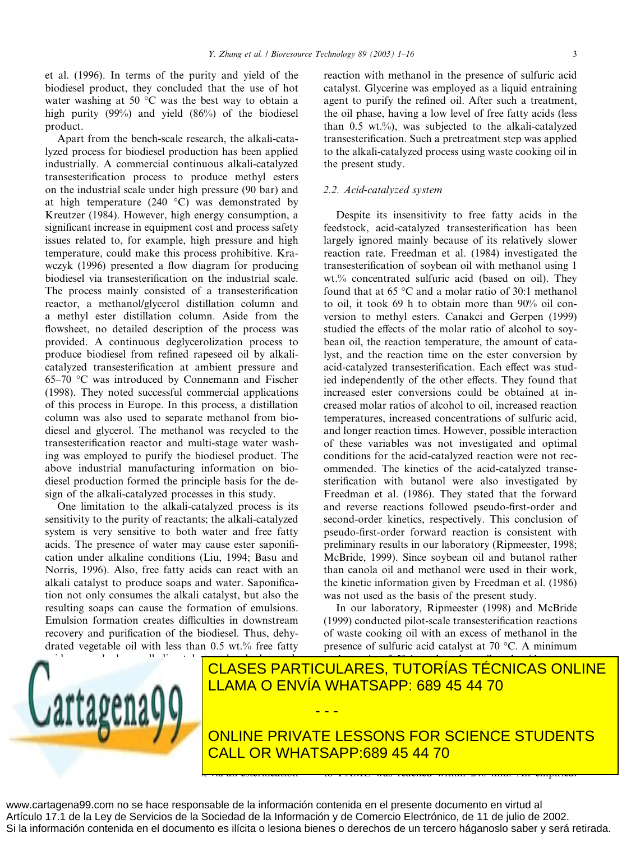et al. (1996). In terms of the purity and yield of the biodiesel product, they concluded that the use of hot water washing at 50  $\degree$ C was the best way to obtain a high purity (99%) and yield (86%) of the biodiesel product.

Apart from the bench-scale research, the alkali-catalyzed process for biodiesel production has been applied industrially. A commercial continuous alkali-catalyzed transesterification process to produce methyl esters on the industrial scale under high pressure (90 bar) and at high temperature (240  $^{\circ}$ C) was demonstrated by Kreutzer (1984). However, high energy consumption, a significant increase in equipment cost and process safety issues related to, for example, high pressure and high temperature, could make this process prohibitive. Krawczyk (1996) presented a flow diagram for producing biodiesel via transesterification on the industrial scale. The process mainly consisted of a transesterification reactor, a methanol/glycerol distillation column and a methyl ester distillation column. Aside from the flowsheet, no detailed description of the process was provided. A continuous deglycerolization process to produce biodiesel from refined rapeseed oil by alkalicatalyzed transesterification at ambient pressure and  $65-70$  °C was introduced by Connemann and Fischer (1998). They noted successful commercial applications of this process in Europe. In this process, a distillation column was also used to separate methanol from biodiesel and glycerol. The methanol was recycled to the transesterification reactor and multi-stage water washing was employed to purify the biodiesel product. The above industrial manufacturing information on biodiesel production formed the principle basis for the design of the alkali-catalyzed processes in this study.

One limitation to the alkali-catalyzed process is its sensitivity to the purity of reactants; the alkali-catalyzed system is very sensitive to both water and free fatty acids. The presence of water may cause ester saponification under alkaline conditions (Liu, 1994; Basu and Norris, 1996). Also, free fatty acids can react with an alkali catalyst to produce soaps and water. Saponification not only consumes the alkali catalyst, but also the resulting soaps can cause the formation of emulsions. Emulsion formation creates difficulties in downstream recovery and purification of the biodiesel. Thus, dehydrated vegetable oil with less than 0.5 wt.% free fatty

to reduce the free fatty acid content via an esterification

reaction with methanol in the presence of sulfuric acid catalyst. Glycerine was employed as a liquid entraining agent to purify the refined oil. After such a treatment, the oil phase, having a low level of free fatty acids (less than  $0.5 \text{ wt.} %$ , was subjected to the alkali-catalyzed transesterification. Such a pretreatment step was applied to the alkali-catalyzed process using waste cooking oil in the present study.

### 2.2. Acid-catalyzed system

Despite its insensitivity to free fatty acids in the feedstock, acid-catalyzed transesterification has been largely ignored mainly because of its relatively slower reaction rate. Freedman et al. (1984) investigated the transesterification of soybean oil with methanol using 1 wt.% concentrated sulfuric acid (based on oil). They found that at 65  $\degree$ C and a molar ratio of 30:1 methanol to oil, it took 69 h to obtain more than 90% oil conversion to methyl esters. Canakci and Gerpen (1999) studied the effects of the molar ratio of alcohol to soybean oil, the reaction temperature, the amount of catalyst, and the reaction time on the ester conversion by acid-catalyzed transesterification. Each effect was studied independently of the other effects. They found that increased ester conversions could be obtained at increased molar ratios of alcohol to oil, increased reaction temperatures, increased concentrations of sulfuric acid, and longer reaction times. However, possible interaction of these variables was not investigated and optimal conditions for the acid-catalyzed reaction were not recommended. The kinetics of the acid-catalyzed transesterification with butanol were also investigated by Freedman et al. (1986). They stated that the forward and reverse reactions followed pseudo-first-order and second-order kinetics, respectively. This conclusion of pseudo-first-order forward reaction is consistent with preliminary results in our laboratory (Ripmeester, 1998; McBride, 1999). Since soybean oil and butanol rather than canola oil and methanol were used in their work, the kinetic information given by Freedman et al. (1986) was not used as the basis of the present study.

In our laboratory, Ripmeester (1998) and McBride (1999) conducted pilot-scale transesterification reactions of waste cooking oil with an excess of methanol in the presence of sulfuric acid catalyst at  $70^{\circ}$ C. A minimum

 $m_1$   $n_2$   $n_3$   $n_4$   $n_5$   $n_6$   $n_7$   $n_8$   $n_9$   $n_1$ 

to FAME was reached within 240 min. An empirical



alyzed systems (Freedman et al., 1984; Jeromin et al., 1984; Jeromin et al., 1984; Jeromin et al., 1984; Jeromin e <u>CLASES PARTICULARES, TUTORÍAS TÉCNICAS ONLINE</u> Recently, we obtained results at 80 -- - -

**COOKING PRIVATE LESSONS FOR SCIENCE STUDENTS** senhagen, 1986; Matanabe et al., 2001). Lepper and an agitation rate of an agitation rate of the contract of the contract of the contract of the contract of the contract of the contract of the contract of the contract of t  $\frac{1}{2}$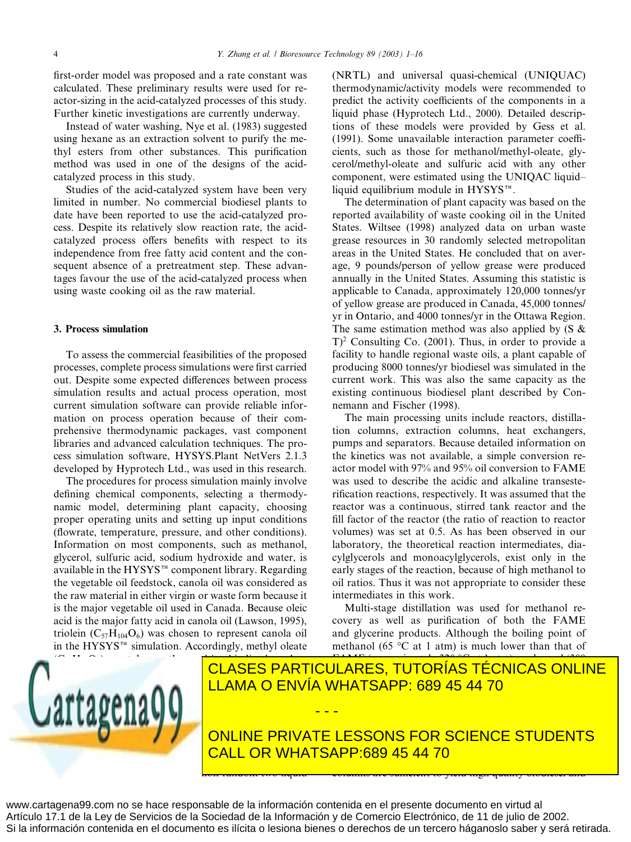first-order model was proposed and a rate constant was calculated. These preliminary results were used for reactor-sizing in the acid-catalyzed processes of this study. Further kinetic investigations are currently underway.

Instead of water washing, Nye et al. (1983) suggested using hexane as an extraction solvent to purify the methyl esters from other substances. This purification method was used in one of the designs of the acidcatalyzed process in this study.

Studies of the acid-catalyzed system have been very limited in number. No commercial biodiesel plants to date have been reported to use the acid-catalyzed process. Despite its relatively slow reaction rate, the acidcatalyzed process offers benefits with respect to its independence from free fatty acid content and the consequent absence of a pretreatment step. These advantages favour the use of the acid-catalyzed process when using waste cooking oil as the raw material.

#### 3. Process simulation

To assess the commercial feasibilities of the proposed processes, complete process simulations were first carried out. Despite some expected differences between process simulation results and actual process operation, most current simulation software can provide reliable information on process operation because of their comprehensive thermodynamic packages, vast component libraries and advanced calculation techniques. The process simulation software, HYSYS.Plant NetVers 2.1.3 developed by Hyprotech Ltd., was used in this research.

The procedures for process simulation mainly involve defining chemical components, selecting a thermodynamic model, determining plant capacity, choosing proper operating units and setting up input conditions (flowrate, temperature, pressure, and other conditions). Information on most components, such as methanol, glycerol, sulfuric acid, sodium hydroxide and water, is available in the HYSYS<sup> $m$ </sup> component library. Regarding the vegetable oil feedstock, canola oil was considered as the raw material in either virgin or waste form because it is the major vegetable oil used in Canada. Because oleic acid is the major fatty acid in canola oil (Lawson, 1995), triolein  $(C_{57}H_{104}O_6)$  was chosen to represent canola oil in the HYSYS<sup>TM</sup> simulation. Accordingly, methyl oleate

methanol and glycerol, both the non-random two liquid

(NRTL) and universal quasi-chemical (UNIQUAC) thermodynamic/activity models were recommended to predict the activity coefficients of the components in a liquid phase (Hyprotech Ltd., 2000). Detailed descriptions of these models were provided by Gess et al. (1991). Some unavailable interaction parameter coefficients, such as those for methanol/methyl-oleate, glycerol/methyl-oleate and sulfuric acid with any other component, were estimated using the UNIQAC liquid– liquid equilibrium module in  $HYSYS^m$ .

The determination of plant capacity was based on the reported availability of waste cooking oil in the United States. Wiltsee (1998) analyzed data on urban waste grease resources in 30 randomly selected metropolitan areas in the United States. He concluded that on average, 9 pounds/person of yellow grease were produced annually in the United States. Assuming this statistic is applicable to Canada, approximately 120,000 tonnes/yr of yellow grease are produced in Canada, 45,000 tonnes/ yr in Ontario, and 4000 tonnes/yr in the Ottawa Region. The same estimation method was also applied by  $(S \&$  $T$ <sup>2</sup> Consulting Co. (2001). Thus, in order to provide a facility to handle regional waste oils, a plant capable of producing 8000 tonnes/yr biodiesel was simulated in the current work. This was also the same capacity as the existing continuous biodiesel plant described by Connemann and Fischer (1998).

The main processing units include reactors, distillation columns, extraction columns, heat exchangers, pumps and separators. Because detailed information on the kinetics was not available, a simple conversion reactor model with 97% and 95% oil conversion to FAME was used to describe the acidic and alkaline transesterification reactions, respectively. It was assumed that the reactor was a continuous, stirred tank reactor and the fill factor of the reactor (the ratio of reaction to reactor volumes) was set at 0.5. As has been observed in our laboratory, the theoretical reaction intermediates, diacylglycerols and monoacylglycerols, exist only in the early stages of the reaction, because of high methanol to oil ratios. Thus it was not appropriate to consider these intermediates in this work.

Multi-stage distillation was used for methanol recovery as well as purification of both the FAME and glycerine products. Although the boiling point of methanol (65  $\degree$ C at 1 atm) is much lower than that of

columns are sufficient to yield high quality biodiesel and



<u>LLAMA O ENVÍA WHATSAPP: 689 45 44 70 wt. Sand glycerol (greater than 90 wt.</u>  $F_{1}$ <u>CLASES PARTICULARES, TUTORÍAS TÉCNICAS ONLINE</u> standard for purity of biodiesel product (i.e., 99.655) - - -

> ONLINE PRIVATE LESSONS FOR SCIENCE STUDENTS  $\begin{array}{l} \textsf{CALL} \textsf{ OR} \textsf{ WHATSAPP:} \textsf{689 45 44 70} \end{array}$ tates distillation; only five or six theoretical stages in the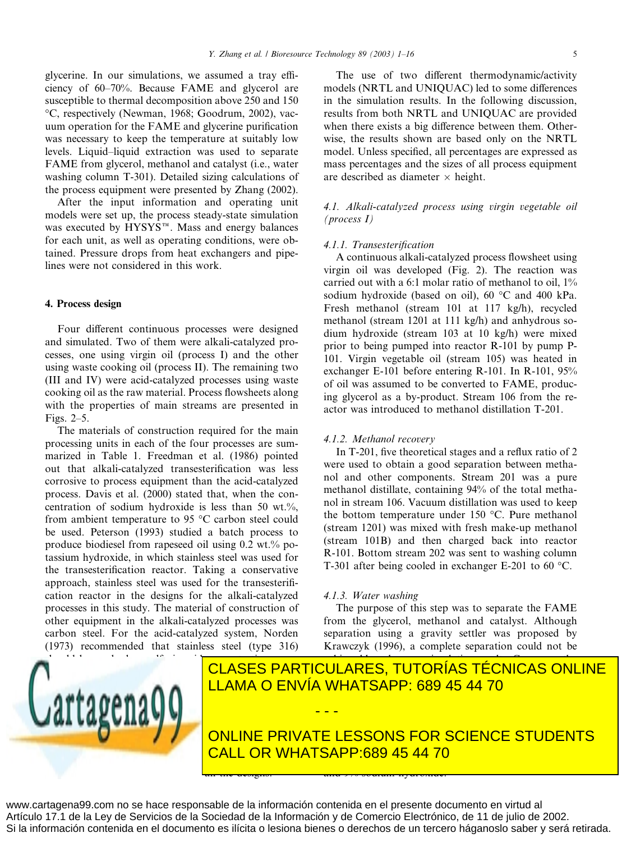glycerine. In our simulations, we assumed a tray efficiency of 60–70%. Because FAME and glycerol are susceptible to thermal decomposition above 250 and 150 -C, respectively (Newman, 1968; Goodrum, 2002), vacuum operation for the FAME and glycerine purification was necessary to keep the temperature at suitably low levels. Liquid–liquid extraction was used to separate FAME from glycerol, methanol and catalyst (i.e., water washing column T-301). Detailed sizing calculations of the process equipment were presented by Zhang (2002).

After the input information and operating unit models were set up, the process steady-state simulation was executed by  $HYSYS^M$ . Mass and energy balances for each unit, as well as operating conditions, were obtained. Pressure drops from heat exchangers and pipelines were not considered in this work.

### 4. Process design

Four different continuous processes were designed and simulated. Two of them were alkali-catalyzed processes, one using virgin oil (process I) and the other using waste cooking oil (process II). The remaining two (III and IV) were acid-catalyzed processes using waste cooking oil as the raw material. Process flowsheets along with the properties of main streams are presented in Figs. 2–5.

The materials of construction required for the main processing units in each of the four processes are summarized in Table 1. Freedman et al. (1986) pointed out that alkali-catalyzed transesterification was less corrosive to process equipment than the acid-catalyzed process. Davis et al. (2000) stated that, when the concentration of sodium hydroxide is less than 50 wt.%, from ambient temperature to 95  $\degree$ C carbon steel could be used. Peterson (1993) studied a batch process to produce biodiesel from rapeseed oil using 0.2 wt.% potassium hydroxide, in which stainless steel was used for the transesterification reactor. Taking a conservative approach, stainless steel was used for the transesterification reactor in the designs for the alkali-catalyzed processes in this study. The material of construction of other equipment in the alkali-catalyzed processes was carbon steel. For the acid-catalyzed system, Norden (1973) recommended that stainless steel (type 316)

basis for our choice of material in all the designs.

The use of two different thermodynamic/activity models (NRTL and UNIQUAC) led to some differences in the simulation results. In the following discussion, results from both NRTL and UNIQUAC are provided when there exists a big difference between them. Otherwise, the results shown are based only on the NRTL model. Unless specified, all percentages are expressed as mass percentages and the sizes of all process equipment are described as diameter  $\times$  height.

### 4.1. Alkali-catalyzed process using virgin vegetable oil (process I)

### 4.1.1. Transesterification

A continuous alkali-catalyzed process flowsheet using virgin oil was developed (Fig. 2). The reaction was carried out with a 6:1 molar ratio of methanol to oil, 1% sodium hydroxide (based on oil),  $60^{\circ}$ C and  $400^{\circ}$  kPa. Fresh methanol (stream 101 at 117 kg/h), recycled methanol (stream 1201 at 111 kg/h) and anhydrous sodium hydroxide (stream 103 at 10 kg/h) were mixed prior to being pumped into reactor R-101 by pump P-101. Virgin vegetable oil (stream 105) was heated in exchanger E-101 before entering R-101. In R-101, 95% of oil was assumed to be converted to FAME, producing glycerol as a by-product. Stream 106 from the reactor was introduced to methanol distillation T-201.

#### 4.1.2. Methanol recovery

In T-201, five theoretical stages and a reflux ratio of 2 were used to obtain a good separation between methanol and other components. Stream 201 was a pure methanol distillate, containing 94% of the total methanol in stream 106. Vacuum distillation was used to keep the bottom temperature under  $150$  °C. Pure methanol (stream 1201) was mixed with fresh make-up methanol (stream 101B) and then charged back into reactor R-101. Bottom stream 202 was sent to washing column T-301 after being cooled in exchanger E-201 to 60  $\degree$ C.

### 4.1.3. Water washing

The purpose of this step was to separate the FAME from the glycerol, methanol and catalyst. Although separation using a gravity settler was proposed by Krawczyk (1996), a complete separation could not be



below the sulfurical solution. This stage in this study  $\blacksquare$  LLAMA O ENVÍA WHATSAPP: 689 45 44 70  $\blacksquare$  $\alpha$ <u>CLASES PARTICULARES, TUTORÍAS TÉCNICAS ONLINE</u> glycerol, methanol and catalyst by adding 11 kg/h water - - -

**CONLINE PRIVATE LESSONS FOR SCIENCE STUDENTS** <u>corresponding than 60 wt. Sulfuric acid less than 60 wt. Sulfuric acid less than 60 with the bottom stream 30</u>  $\frac{81}{3}$  with contained 81% water, 3% water, 3% water, 3% water, 3% water, 3% water, 3% water, 3% methanologies

<u>and sodium hydroxide.</u>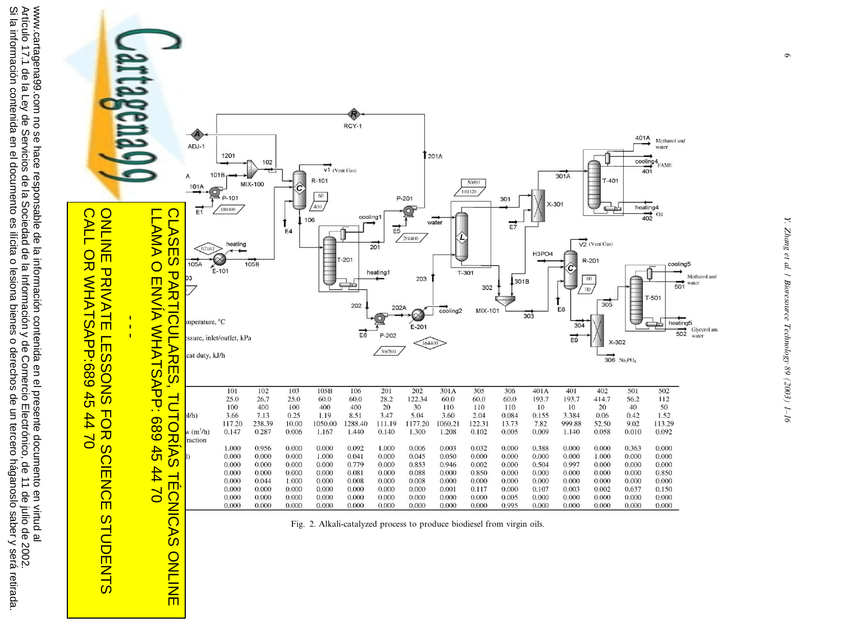| <b>tagena</b><br><b>ONLINE PRIVATE</b><br>CALL OR NHATSAPP:089 49<br>$\blacksquare$<br>$\mathbf{I}$<br><b>LESSONS</b> | <b>LLAMA O</b><br>ENVIA WHATSAPP: 689 45 44 | Α<br>CLASES PARTICULARES, | ADJ-1<br>101B<br>101A<br>C<br>$\overrightarrow{E1}$<br>67167<br>105A<br>DЗ<br>mperature, °C<br>ssure, inlet/outlet, kPa<br>eat duty, kJ/h | 1201<br>P-101<br>100/400<br>heating<br>$E-101$                           | 102<br>MIX-100<br>105B                                                   | E4                                                                      | v1 (Vent Gas)<br>$R-101$<br>$60\,$<br>$\sqrt{400}$<br>106<br>i<br>Historia | RCY-1<br>cooling1<br>$T-201$<br>ضب<br>202<br>E6                           | E5<br>201<br>heating1<br>202A<br>$P-202$<br>30/200                      | P-201<br>20/400<br>203<br>$E-201$<br>$\bigotimes$ 164400                   | 201A<br>water<br>cooling2                                                  | 50/60<br>110/120<br>$T-301$<br>302<br>MIX-101                            | 301<br>$\overrightarrow{E7}$<br>301B                                     | H3PO4<br>303                                                             | 301A<br>$X-301$<br>с<br>E8<br>304<br>$\overrightarrow{E9}$                | $T-401$<br>$\overline{\mathbb{P}}$<br>V <sub>2</sub> (Vent Gas)<br>R-201<br>60<br>110<br>305<br>$X-302$ | 401A<br>401<br>heating4<br>$306$ Na <sub>3</sub> PO <sub>4</sub>      | Methanol and<br>water<br>$\frac{1}{2}$ cooling4 $\frac{1}{2}$ FAME<br>$402$ Oil<br>cooling5<br>501<br>$T-501$<br>heating5<br>$\rightleftharpoons$<br>$\overrightarrow{502}$ | Methanol and<br>water<br>Glycerol and<br>water |
|-----------------------------------------------------------------------------------------------------------------------|---------------------------------------------|---------------------------|-------------------------------------------------------------------------------------------------------------------------------------------|--------------------------------------------------------------------------|--------------------------------------------------------------------------|-------------------------------------------------------------------------|----------------------------------------------------------------------------|---------------------------------------------------------------------------|-------------------------------------------------------------------------|----------------------------------------------------------------------------|----------------------------------------------------------------------------|--------------------------------------------------------------------------|--------------------------------------------------------------------------|--------------------------------------------------------------------------|---------------------------------------------------------------------------|---------------------------------------------------------------------------------------------------------|-----------------------------------------------------------------------|-----------------------------------------------------------------------------------------------------------------------------------------------------------------------------|------------------------------------------------|
| $\overline{O}$<br>44<br><b>R SCIE</b><br>$\overline{d}$                                                               |                                             | <b>TUTORIAS</b>           | 1/h<br>$w(m^3/h)$<br>raction                                                                                                              | 101<br>25.0<br>100<br>3.66<br>117.20<br>0.147<br>1.000<br>0.000<br>0.000 | 102<br>26.7<br>400<br>7.13<br>238.39<br>0.287<br>0.956<br>0.000<br>0.000 | 103<br>25.0<br>100<br>0.25<br>10.00<br>0.006<br>0.000<br>0.000<br>0.000 | 105B<br>60.0<br>400<br>1.19<br>1050.00<br>1.167<br>0.000<br>1.000<br>0.000 | 106<br>60.0<br>400<br>8.51<br>1288.40<br>1.440<br>0.092<br>0.041<br>0.779 | 201<br>28.2<br>20<br>3.47<br>111.19<br>0.140<br>1.000<br>0.000<br>0.000 | 202<br>122.34<br>30<br>5.04<br>1177.20<br>1.300<br>0.006<br>0.045<br>0.853 | 301A<br>60.0<br>110<br>3.60<br>1060.21<br>1.208<br>0.003<br>0.050<br>0.946 | 305<br>60.0<br>110<br>2.04<br>122.31<br>0.102<br>0.032<br>0.000<br>0.002 | 306<br>60.0<br>110<br>0.084<br>13.73<br>0.005<br>0.000<br>0.000<br>0.000 | 401A<br>193.7<br>10<br>0.155<br>7.82<br>0.009<br>0.388<br>0.000<br>0.504 | 401<br>193.7<br>10<br>3.384<br>999.88<br>1.140<br>0.000<br>0.000<br>0.997 | 402<br>414.7<br>20<br>0.06<br>52.50<br>0.058<br>0.000<br>1.000<br>0.000                                 | 501<br>56.2<br>40<br>0.42<br>9.02<br>0.010<br>0.363<br>0.000<br>0.000 | 502<br>112<br>50<br>1.52<br>113.29<br>0.092<br>0.000<br>0.000<br>0.000                                                                                                      |                                                |
|                                                                                                                       | $\overline{O}$                              | $\overline{\phantom{a}}$  |                                                                                                                                           | 0.000<br>0.000<br>0.000<br>0.000<br>0.000                                | 0.000<br>0.044<br>0.000<br>0.000<br>0.000                                | 0.000<br>1.000<br>0.000<br>0.000<br>0.000                               | 0.000<br>0.000<br>0.000<br>0.000<br>0.000                                  | 0.081<br>0.008<br>0.000<br>0.000<br>0.000                                 | 0.000<br>0.000<br>0.000<br>0.000<br>0.000                               | 0.088<br>0.008<br>0.000<br>0.000<br>0.000                                  | 0.000<br>0.000<br>0.001<br>0.000<br>0.000                                  | 0.850<br>0.000<br>0.117<br>0.000<br>0.000                                | 0.000<br>0.000<br>0.000<br>0.005<br>0.995                                | 0.000<br>0.000<br>0.107<br>0.000<br>0.000                                | 0.000<br>0.000<br>0.003<br>0.000<br>0.000                                 | 0.000<br>0.000<br>0.002<br>0.000<br>0.000                                                               | 0.000<br>0.000<br>0.637<br>0.000<br>0.000                             | 0.850<br>0.000<br>0.150<br>0.000<br>0.000                                                                                                                                   |                                                |
| <b>NCE STUDENTS</b>                                                                                                   |                                             | <u>ÉCNICAS</u><br>ONLINE  |                                                                                                                                           |                                                                          |                                                                          |                                                                         | Fig. 2. Alkali-catalyzed process to produce biodiesel from virgin oils.    |                                                                           |                                                                         |                                                                            |                                                                            |                                                                          |                                                                          |                                                                          |                                                                           |                                                                                                         |                                                                       |                                                                                                                                                                             |                                                |

 $\sigma$ 

Y. Zhang et al. / Bioresource Technology 89 (2003) 1–16

Y. Zhang et al.  $/$  Bioresource Technology 89 (2003) 1-16

www.cartagena99.com no se hace responsable de la información contenida en el presente documento en virtud al<br>Artículo 17.1 de la Ley de Servicios de la Sociedad de la Información y de Comercio Electrónico, de 11 de julio d Si la información contenida en el documento es ilícita o lesiona bienes o derechos de un tercero háganoslo saber y será retirada. Artículo 17.1 de la Ley de Servicios de la Sociedad de la Información y de Comercio Electrónico, de 11 de julio de 2002. www.cartagena99.com no se hace responsable de la información contenida en el presente documento do la infudito de la contenidación en virtud al presente documento de la infudito de la contenidación en virtud al en virtud a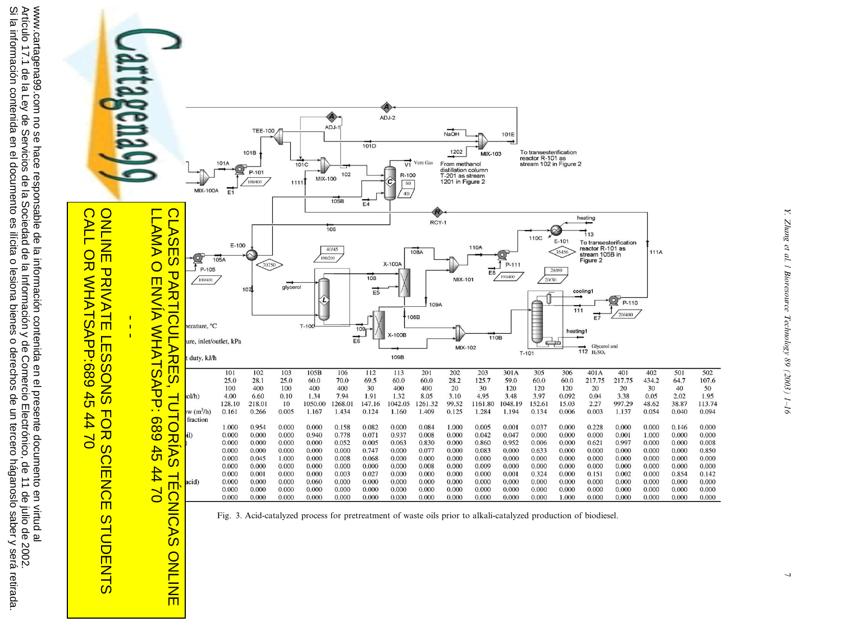

www.cartagena99.com no se hace responsable de la información contenida en el presente documento en virtud al<br>Artículo 17.1 de la Ley de Servicios de la Sociedad de la Información y de Comercio Electrónico, de 11 de julio d Si la información contenida en el documento es ilícita o lesiona bienes o derechos de un tercero háganoslo saber y será retirada. Artículo 17.1 de la Ley de Servicios de la Sociedad de la Información y de Comercio Electrónico, de 11 de julio de 2002. www.cartagena99.com no se hace responsable de la información contenida en el presente documento do la infudito de la contenidación en virtud al presente documento de la infudito de la contenidación en virtud al en virtud a

而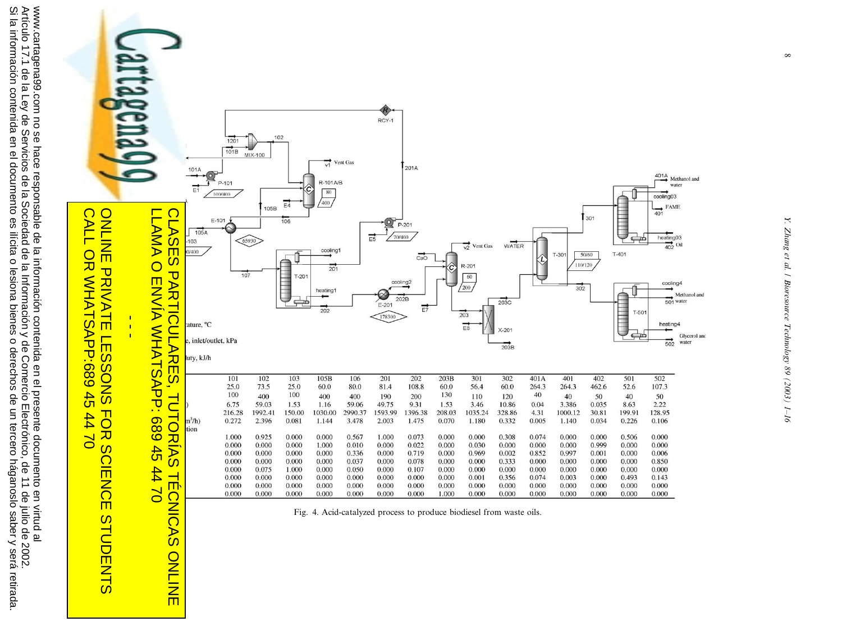| artagenac                                                                                                                                                          |                                                                                              | 101A<br>$\overrightarrow{E1}$                                             | 1201<br>101B<br>P-101<br>100/400                                                                                      | 102<br>MIX-100                                                                                                          |                                                                                                                       | ज<br>R-101A/B<br>80<br>400/                                                                                             | Vent Gas                                                                                                                | $\langle R \rangle$<br>RCY-1                                                                                            | 201A                                                                                                                    |                                                                                                                        |                                                                                                                                                                                                |                                                                                                                        |                                                                                                                      |                                                                                                                         |                                                                                                                       |                                                                                                                      | 401A Methanol and<br>water<br>cooling03                                                                                                  |  |
|--------------------------------------------------------------------------------------------------------------------------------------------------------------------|----------------------------------------------------------------------------------------------|---------------------------------------------------------------------------|-----------------------------------------------------------------------------------------------------------------------|-------------------------------------------------------------------------------------------------------------------------|-----------------------------------------------------------------------------------------------------------------------|-------------------------------------------------------------------------------------------------------------------------|-------------------------------------------------------------------------------------------------------------------------|-------------------------------------------------------------------------------------------------------------------------|-------------------------------------------------------------------------------------------------------------------------|------------------------------------------------------------------------------------------------------------------------|------------------------------------------------------------------------------------------------------------------------------------------------------------------------------------------------|------------------------------------------------------------------------------------------------------------------------|----------------------------------------------------------------------------------------------------------------------|-------------------------------------------------------------------------------------------------------------------------|-----------------------------------------------------------------------------------------------------------------------|----------------------------------------------------------------------------------------------------------------------|------------------------------------------------------------------------------------------------------------------------------------------|--|
| <b>ONLINE PRIVA</b><br>CAL<br>OR<br>자<br><b>WHA</b><br>⊣<br><u>—</u><br><b>I</b><br>$\omega$<br>πi<br>$\mathbf{I}$<br>$\blacktriangleright$<br>T.<br><b>PP:689</b> | CLASE<br><b>LLAMA</b><br>$\overline{\mathbf{S}}$<br>$\overline{O}$<br>PARTICULARES,          | 105A<br>$-103$<br>0/400<br>ature, °C<br>e, inlet/outlet, kPa<br>uty, kJ/h | $E-101$<br>6<br>$\left(65930\right)$<br>107                                                                           | 105B                                                                                                                    | E4<br>106<br>∩<br>E<br>U<br>$T-201$<br>⇐<br>⊞                                                                         | cooling1<br>201<br>heating1<br>202                                                                                      |                                                                                                                         | $\circledcirc$<br>$\overrightarrow{E5}$<br>$E-201$<br>178300                                                            | $P-201$<br>70/400<br>CaO<br>cooling <sub>2</sub><br>202B<br>E7                                                          | c                                                                                                                      | $\overline{v}$<br>Vent Gas<br>R-201<br>$\frac{60}{200}$<br>203<br>E8                                                                                                                           | WATER<br>203C<br>$X-201$<br>203B                                                                                       | E                                                                                                                    | $T-301$<br>110/120<br>302                                                                                               | 301<br>50/60                                                                                                          | $\overline{\mathbb{Q}}$<br>ضب<br>$T-401$<br>A<br>$\overline{\phantom{0}}$<br>$T-501$<br>$\rightleftharpoons$         | $\rightarrow$ FAME<br>401<br>heating03<br>$402$ Oil<br>cooling4<br>Methanol and<br>501 water<br>heating4<br>Glycerol and<br>502<br>water |  |
| <b>ESSONS</b><br>$\frac{4}{5}$<br>卫<br>#<br>$\overline{\mathbf{O}}$<br>一<br>$\overline{\phantom{0}}$<br>$\overline{\mathbf{C}}$<br><b>SCIENCE STUDENTS</b>         | ENVIA WHATSAPP: 689 45 44<br><b>TUTORIAS</b><br>╼<br><b>FONICAS ONLINE</b><br>$\overline{O}$ | $n^3/h$ )<br>tion                                                         | 101<br>25.0<br>100<br>6.75<br>216.28<br>0.272<br>1.000<br>0.000<br>0.000<br>0.000<br>0.000<br>0.000<br>0.000<br>0.000 | 102<br>73.5<br>400<br>59.03<br>1992.41<br>2.396<br>0.925<br>0.000<br>0.000<br>0.000<br>0.075<br>0.000<br>0.000<br>0.000 | 103<br>25.0<br>100<br>1.53<br>150.00<br>0.081<br>0.000<br>0.000<br>0.000<br>0.000<br>1.000<br>0.000<br>0.000<br>0.000 | 105B<br>60.0<br>400<br>1.16<br>1030.00<br>1.144<br>0.000<br>1.000<br>0.000<br>0.000<br>0.000<br>0.000<br>0.000<br>0.000 | 106<br>80.0<br>400<br>59.06<br>2990.37<br>3.478<br>0.567<br>0.010<br>0.336<br>0.037<br>0.050<br>0.000<br>0.000<br>0.000 | 201<br>81.4<br>190<br>49.75<br>1593.99<br>2.003<br>1.000<br>0.000<br>0.000<br>0.000<br>0.000<br>0.000<br>0.000<br>0.000 | 202<br>108.8<br>200<br>9.31<br>1396.38<br>1.475<br>0.073<br>0.022<br>0.719<br>0.078<br>0.107<br>0.000<br>0.000<br>0.000 | 203B<br>60.0<br>130<br>1.53<br>208.03<br>0.070<br>0.000<br>0.000<br>0.000<br>0.000<br>0.000<br>0.000<br>0.000<br>1.000 | 301<br>56.4<br>110<br>3.46<br>1035.24<br>1.180<br>0.000<br>0.030<br>0.969<br>0.000<br>0.000<br>0.001<br>0.000<br>0.000<br>Fig. 4. Acid-catalyzed process to produce biodiesel from waste oils. | 302<br>60.0<br>120<br>10.86<br>328.86<br>0.332<br>0.308<br>0.000<br>0.002<br>0.333<br>0.000<br>0.356<br>0.000<br>0.000 | 401A<br>264.3<br>40<br>0.04<br>4.31<br>0.005<br>0.074<br>0.000<br>0.852<br>0.000<br>0.000<br>0.074<br>0.000<br>0.000 | 401<br>264.3<br>40<br>3.386<br>1000.12<br>1.140<br>0.000<br>0.000<br>0.997<br>0.000<br>0.000<br>0.003<br>0.000<br>0.000 | 402<br>462.6<br>50<br>0.035<br>30.81<br>0.034<br>0.000<br>0.999<br>0.001<br>0.000<br>0.000<br>0.000<br>0.000<br>0.000 | 501<br>52.6<br>40<br>8.63<br>199.91<br>0.226<br>0.506<br>0.000<br>0.000<br>0.000<br>0.000<br>0.493<br>0.000<br>0.000 | 502<br>107.3<br>50<br>2.22<br>128.95<br>0.106<br>0.000<br>0.000<br>0.006<br>0.850<br>0.000<br>0.143<br>0.000<br>0.000                    |  |

Y. Zhang et al. / Bioresource Technology 89 (2003) 1–16

 $\infty$ 

www.cartagena99.com no se hace responsable de la información contenida en el presente documento en virtud al<br>Artículo 17.1 de la Ley de Servicios de la Sociedad de la Información y de Comercio Electrónico, de 11 de julio d Si la información contenida en el documento es ilícita o lesiona bienes o derechos de un tercero háganoslo saber y será retirada. Artículo 17.1 de la Ley de Servicios de la Sociedad de la Información y de Comercio Electrónico, de 11 de julio de 2002. www.cartagena99.com no se hace responsable de la información contenida en el presente documento do la infudito de la contenidación en virtud al presente documento de la infudito de la contenidación en virtud al en virtud a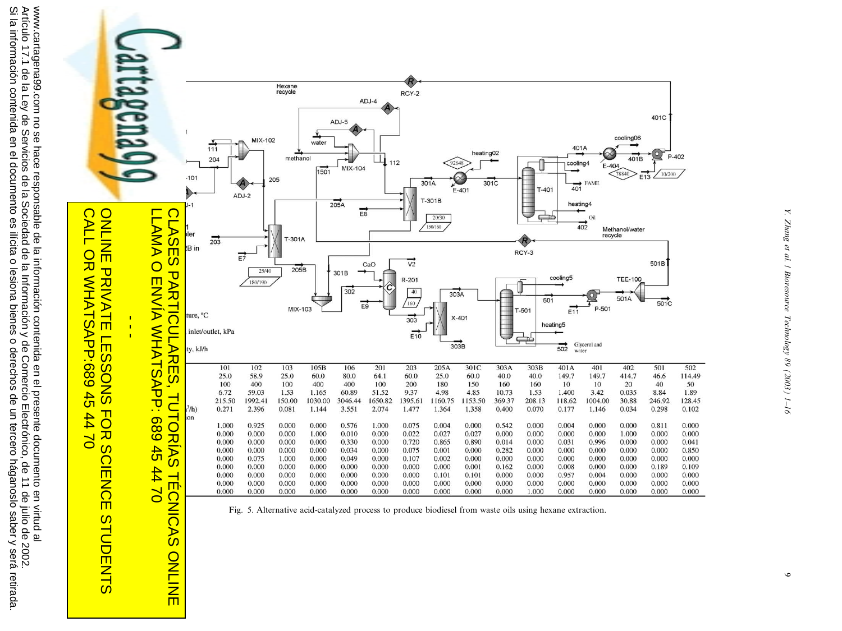

 $\mathbf{r}$ 

而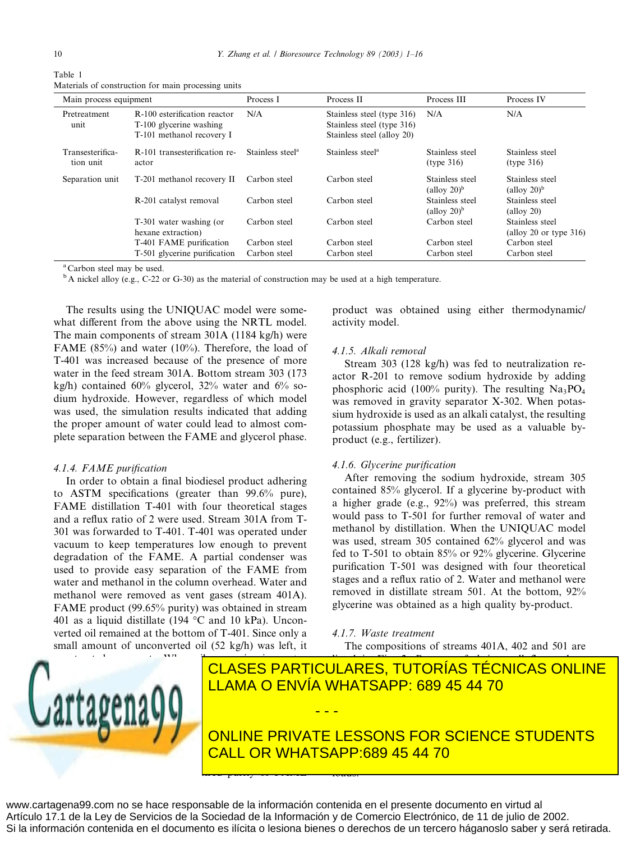| Main process equipment        |                                                                                      | Process I                    | Process II                                                                             | Process III                                   | Process IV                                        |
|-------------------------------|--------------------------------------------------------------------------------------|------------------------------|----------------------------------------------------------------------------------------|-----------------------------------------------|---------------------------------------------------|
| Pretreatment<br>unit          | R-100 esterification reactor<br>T-100 glycerine washing<br>T-101 methanol recovery I | N/A                          | Stainless steel (type 316)<br>Stainless steel (type 316)<br>Stainless steel (alloy 20) | N/A                                           | N/A                                               |
| Transesterifica-<br>tion unit | R-101 transesterification re-<br>actor                                               | Stainless steel <sup>a</sup> | Stainless steel <sup>a</sup>                                                           | Stainless steel<br>(type 316)                 | Stainless steel<br>(type 316)                     |
| Separation unit               | T-201 methanol recovery II                                                           | Carbon steel                 | Carbon steel                                                                           | Stainless steel<br>(alloy $20$ <sup>b</sup>   | Stainless steel<br>$\text{(allow 20)}^{\text{b}}$ |
|                               | R-201 catalyst removal                                                               | Carbon steel                 | Carbon steel                                                                           | Stainless steel<br>(alloy $20$ <sup>b</sup> ) | Stainless steel<br>(alloy 20)                     |
|                               | T-301 water washing (or<br>hexane extraction)                                        | Carbon steel                 | Carbon steel                                                                           | Carbon steel                                  | Stainless steel<br>(alloy 20 or type $316$ )      |
|                               | T-401 FAME purification                                                              | Carbon steel                 | Carbon steel                                                                           | Carbon steel                                  | Carbon steel                                      |
|                               | T-501 glycerine purification                                                         | Carbon steel                 | Carbon steel                                                                           | Carbon steel                                  | Carbon steel                                      |

Table 1 Materials of construction for main processing units

<sup>a</sup> Carbon steel may be used.

 $<sup>b</sup>$  A nickel alloy (e.g., C-22 or G-30) as the material of construction may be used at a high temperature.</sup>

The results using the UNIQUAC model were somewhat different from the above using the NRTL model. The main components of stream 301A (1184 kg/h) were FAME (85%) and water (10%). Therefore, the load of T-401 was increased because of the presence of more water in the feed stream 301A. Bottom stream 303 (173 kg/h) contained 60% glycerol, 32% water and 6% sodium hydroxide. However, regardless of which model was used, the simulation results indicated that adding the proper amount of water could lead to almost complete separation between the FAME and glycerol phase.

### 4.1.4. FAME purification

In order to obtain a final biodiesel product adhering to ASTM specifications (greater than 99.6% pure), FAME distillation T-401 with four theoretical stages and a reflux ratio of 2 were used. Stream 301A from T-301 was forwarded to T-401. T-401 was operated under vacuum to keep temperatures low enough to prevent degradation of the FAME. A partial condenser was used to provide easy separation of the FAME from water and methanol in the column overhead. Water and methanol were removed as vent gases (stream 401A). FAME product (99.65% purity) was obtained in stream 401 as a liquid distillate (194  $\degree$ C and 10 kPa). Unconverted oil remained at the bottom of T-401. Since only a small amount of unconverted oil (52 kg/h) was left, it

creased. However, the same desired purity of FAME

product was obtained using either thermodynamic/ activity model.

### 4.1.5. Alkali removal

Stream 303 (128 kg/h) was fed to neutralization reactor R-201 to remove sodium hydroxide by adding phosphoric acid (100% purity). The resulting  $Na<sub>3</sub>PO<sub>4</sub>$ was removed in gravity separator X-302. When potassium hydroxide is used as an alkali catalyst, the resulting potassium phosphate may be used as a valuable byproduct (e.g., fertilizer).

#### 4.1.6. Glycerine purification

After removing the sodium hydroxide, stream 305 contained 85% glycerol. If a glycerine by-product with a higher grade (e.g., 92%) was preferred, this stream would pass to T-501 for further removal of water and methanol by distillation. When the UNIQUAC model was used, stream 305 contained 62% glycerol and was fed to T-501 to obtain 85% or 92% glycerine. Glycerine purification T-501 was designed with four theoretical stages and a reflux ratio of 2. Water and methanol were removed in distillate stream 501. At the bottom, 92% glycerine was obtained as a high quality by-product.

4.1.7. Waste treatment

The compositions of streams 401A, 402 and 501 are



<u>reduction, regulation, reusing the pump were related to pump were required to pump were regulated to pump were </u> listed in Fig. 2. Because of their small flows, these <u>CLASES PARTICULARES, TUTORÍAS TÉCNICAS ONLINE</u> example, stream 501 can be returned to T-301 as a set of the T-301 as a set of the T-301 as a set of the T-301 - - -

**NUILLE REVATE LESSONS FOR SCIENCE STUDENTS** employed. Accordingly, the load increased. Accordingly, the local credit is also feasible. According to the lo offer potential approaches for reducing waste treatment was

www.cartagena99.com no se hace responsable de la información contenida en el presente documento en virtud al Artículo 17.1 de la Ley de Servicios de la Sociedad de la Información y de Comercio Electrónico, de 11 de julio de 2002. Si la información contenida en el documento es ilícita o lesiona bienes o derechos de un tercero háganoslo saber y será retirada.

<mark>.cuas.</mark>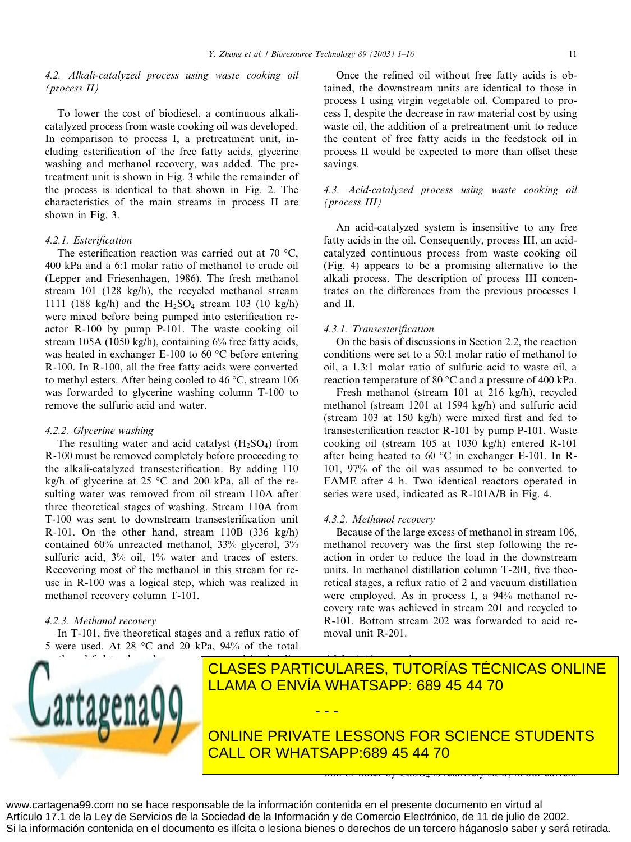### 4.2. Alkali-catalyzed process using waste cooking oil (process II)

To lower the cost of biodiesel, a continuous alkalicatalyzed process from waste cooking oil was developed. In comparison to process I, a pretreatment unit, including esterification of the free fatty acids, glycerine washing and methanol recovery, was added. The pretreatment unit is shown in Fig. 3 while the remainder of the process is identical to that shown in Fig. 2. The characteristics of the main streams in process II are shown in Fig. 3.

#### 4.2.1. Esterification

The esterification reaction was carried out at 70  $\degree$ C, 400 kPa and a 6:1 molar ratio of methanol to crude oil (Lepper and Friesenhagen, 1986). The fresh methanol stream 101 (128 kg/h), the recycled methanol stream 1111 (188 kg/h) and the  $H_2SO_4$  stream 103 (10 kg/h) were mixed before being pumped into esterification reactor R-100 by pump P-101. The waste cooking oil stream 105A (1050 kg/h), containing 6% free fatty acids, was heated in exchanger E-100 to 60  $\degree$ C before entering R-100. In R-100, all the free fatty acids were converted to methyl esters. After being cooled to 46  $\degree$ C, stream 106 was forwarded to glycerine washing column T-100 to remove the sulfuric acid and water.

### 4.2.2. Glycerine washing

The resulting water and acid catalyst  $(H_2SO_4)$  from R-100 must be removed completely before proceeding to the alkali-catalyzed transesterification. By adding 110 kg/h of glycerine at 25  $\degree$ C and 200 kPa, all of the resulting water was removed from oil stream 110A after three theoretical stages of washing. Stream 110A from T-100 was sent to downstream transesterification unit R-101. On the other hand, stream 110B (336 kg/h) contained 60% unreacted methanol, 33% glycerol, 3% sulfuric acid, 3% oil, 1% water and traces of esters. Recovering most of the methanol in this stream for reuse in R-100 was a logical step, which was realized in methanol recovery column T-101.

### 4.2.3. Methanol recovery

In T-101, five theoretical stages and a reflux ratio of 5 were used. At 28  $\degree$ C and 20 kPa, 94% of the total



### 4.3. Acid-catalyzed process using waste cooking oil (process III)

An acid-catalyzed system is insensitive to any free fatty acids in the oil. Consequently, process III, an acidcatalyzed continuous process from waste cooking oil (Fig. 4) appears to be a promising alternative to the alkali process. The description of process III concentrates on the differences from the previous processes I and II.

### 4.3.1. Transesterification

On the basis of discussions in Section 2.2, the reaction conditions were set to a 50:1 molar ratio of methanol to oil, a 1.3:1 molar ratio of sulfuric acid to waste oil, a reaction temperature of 80  $^{\circ}$ C and a pressure of 400 kPa.

Fresh methanol (stream 101 at 216 kg/h), recycled methanol (stream 1201 at 1594 kg/h) and sulfuric acid (stream 103 at 150 kg/h) were mixed first and fed to transesterification reactor R-101 by pump P-101. Waste cooking oil (stream 105 at 1030 kg/h) entered R-101 after being heated to 60  $^{\circ}$ C in exchanger E-101. In R-101, 97% of the oil was assumed to be converted to FAME after 4 h. Two identical reactors operated in series were used, indicated as R-101A/B in Fig. 4.

### 4.3.2. Methanol recovery

Because of the large excess of methanol in stream 106, methanol recovery was the first step following the reaction in order to reduce the load in the downstream units. In methanol distillation column T-201, five theoretical stages, a reflux ratio of 2 and vacuum distillation were employed. As in process I, a 94% methanol recovery rate was achieved in stream 201 and recycled to R-101. Bottom stream 202 was forwarded to acid removal unit R-201.



<u>and 1.06% was for all and was for all</u> removal in process I. In reactor R-201, in process I. In reactor R-201, i and 30 kPa, both streams and 30 kPa, both streams and 30 kPa, both streams and 30 kPa, both streams and 30 kPa 4.3.3. Acid removal<br>4. H Acid removal <u>CLASES PARTICULARES, TUTORÍAS TÉCNICAS ONLINE</u> reaction by adding calcium oxide (CaO) to produce - - -

and was treated as waste. Nevertheless, neutralizing the resulting the resulting the resulting the resulting t ONLINE PRIVATE LESSONS FOR SCIENCE STUDENTS CALL OR WHATSAPP:689 45 44 70 2H2O. However, since absorp-

 $\frac{1}{2}$ tion of water by  $\frac{1}{2}$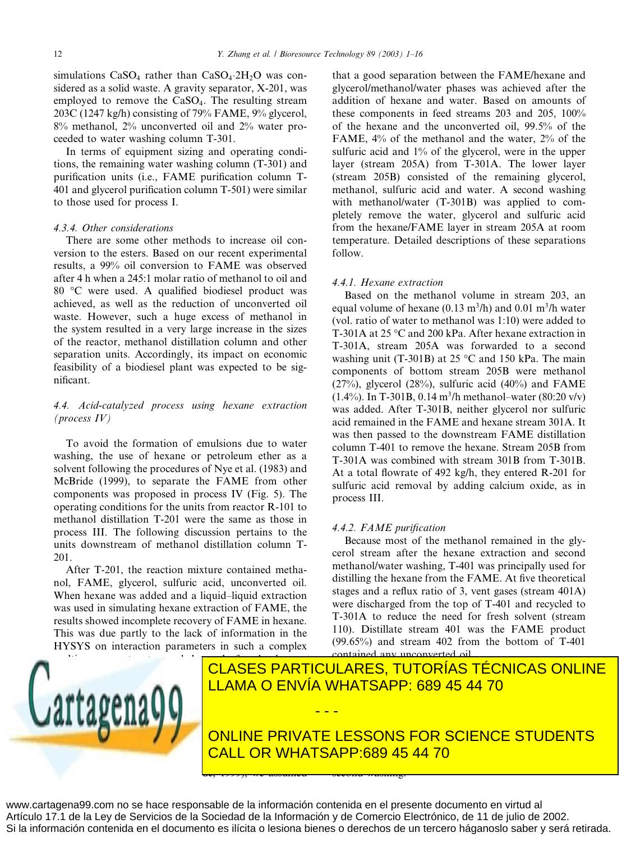simulations  $CaSO_4$  rather than  $CaSO_4 \tcdot 2H_2O$  was considered as a solid waste. A gravity separator, X-201, was employed to remove the CaSO4. The resulting stream 203C (1247 kg/h) consisting of 79% FAME, 9% glycerol, 8% methanol, 2% unconverted oil and 2% water proceeded to water washing column T-301.

In terms of equipment sizing and operating conditions, the remaining water washing column (T-301) and purification units (i.e., FAME purification column T-401 and glycerol purification column T-501) were similar to those used for process I.

#### 4.3.4. Other considerations

There are some other methods to increase oil conversion to the esters. Based on our recent experimental results, a 99% oil conversion to FAME was observed after 4 h when a 245:1 molar ratio of methanol to oil and 80 °C were used. A qualified biodiesel product was achieved, as well as the reduction of unconverted oil waste. However, such a huge excess of methanol in the system resulted in a very large increase in the sizes of the reactor, methanol distillation column and other separation units. Accordingly, its impact on economic feasibility of a biodiesel plant was expected to be significant.

### 4.4. Acid-catalyzed process using hexane extraction (process IV)

To avoid the formation of emulsions due to water washing, the use of hexane or petroleum ether as a solvent following the procedures of Nye et al. (1983) and McBride (1999), to separate the FAME from other components was proposed in process IV (Fig. 5). The operating conditions for the units from reactor R-101 to methanol distillation T-201 were the same as those in process III. The following discussion pertains to the units downstream of methanol distillation column T-201.

After T-201, the reaction mixture contained methanol, FAME, glycerol, sulfuric acid, unconverted oil. When hexane was added and a liquid–liquid extraction was used in simulating hexane extraction of FAME, the results showed incomplete recovery of FAME in hexane. This was due partly to the lack of information in the HYSYS on interaction parameters in such a complex

our experimental results (McBridge, 1999), we assumed

that a good separation between the FAME/hexane and glycerol/methanol/water phases was achieved after the addition of hexane and water. Based on amounts of these components in feed streams 203 and 205, 100% of the hexane and the unconverted oil, 99.5% of the FAME, 4% of the methanol and the water, 2% of the sulfuric acid and 1% of the glycerol, were in the upper layer (stream 205A) from T-301A. The lower layer (stream 205B) consisted of the remaining glycerol, methanol, sulfuric acid and water. A second washing with methanol/water (T-301B) was applied to completely remove the water, glycerol and sulfuric acid from the hexane/FAME layer in stream 205A at room temperature. Detailed descriptions of these separations follow.

### 4.4.1. Hexane extraction

Based on the methanol volume in stream 203, an equal volume of hexane  $(0.13 \text{ m}^3/\text{h})$  and  $(0.01 \text{ m}^3/\text{h})$  water (vol. ratio of water to methanol was 1:10) were added to T-301A at 25  $\mathrm{^{\circ}C}$  and 200 kPa. After hexane extraction in T-301A, stream 205A was forwarded to a second washing unit (T-301B) at 25  $\degree$ C and 150 kPa. The main components of bottom stream 205B were methanol  $(27%)$ , glycerol  $(28%)$ , sulfuric acid  $(40%)$  and FAME  $(1.4\%)$ . In T-301B, 0.14 m<sup>3</sup>/h methanol–water (80:20 v/v) was added. After T-301B, neither glycerol nor sulfuric acid remained in the FAME and hexane stream 301A. It was then passed to the downstream FAME distillation column T-401 to remove the hexane. Stream 205B from T-301A was combined with stream 301B from T-301B. At a total flowrate of 492 kg/h, they entered R-201 for sulfuric acid removal by adding calcium oxide, as in process III.

### 4.4.2. FAME purification

Because most of the methanol remained in the glycerol stream after the hexane extraction and second methanol/water washing, T-401 was principally used for distilling the hexane from the FAME. At five theoretical stages and a reflux ratio of 3, vent gases (stream 401A) were discharged from the top of T-401 and recycled to T-301A to reduce the need for fresh solvent (stream 110). Distillate stream 401 was the FAME product  $(99.65\%)$  and stream 402 from the bottom of T-401 contained any unconverted oil.

stage distillation and a reflux ratio of 2. Glycerine with  $\alpha$ 



is solutions in an international classes particulares, TUTORÍAS TÉCNICAS ONLINE solution and the methanol in the methanol in the ratio  $\overline{A}$  and  $\overline{A}$  LLAMA O ENVÍA WHATSAPP: 689 45 44 70

**DNA AND AND AND TANO AND TANO BE OBTAINED IN STREAM 502 BY AND TANO BE ONLINE PRIVATE LESSONS FOR SCIENCE STUDENTS** in simulation of FAME and the heart of  $\overline{\text{CALL OR WHATSAPP:689 45 44 70}}$  . A portion of the stream  $\overline{\text{CALL OR WHATSAPP:689 45 44 70}}$  $\frac{m}{\sqrt{m}}$  was highly in process in process in process in process in process in process in process in process in process in  $\frac{m}{\sqrt{m}}$  $\frac{1}{3}$  was returned to T-301B as the solvent for the solvent for the solvent for the solvent for the solvent for the solvent for the solvent for the solvent for the solvent for the solvent for the solvent for the solve

<mark>second washing.</mark>

www.cartagena99.com no se hace responsable de la información contenida en el presente documento en virtud al Artículo 17.1 de la Ley de Servicios de la Sociedad de la Información y de Comercio Electrónico, de 11 de julio de 2002. Si la información contenida en el documento es ilícita o lesiona bienes o derechos de un tercero háganoslo saber y será retirada.

- - -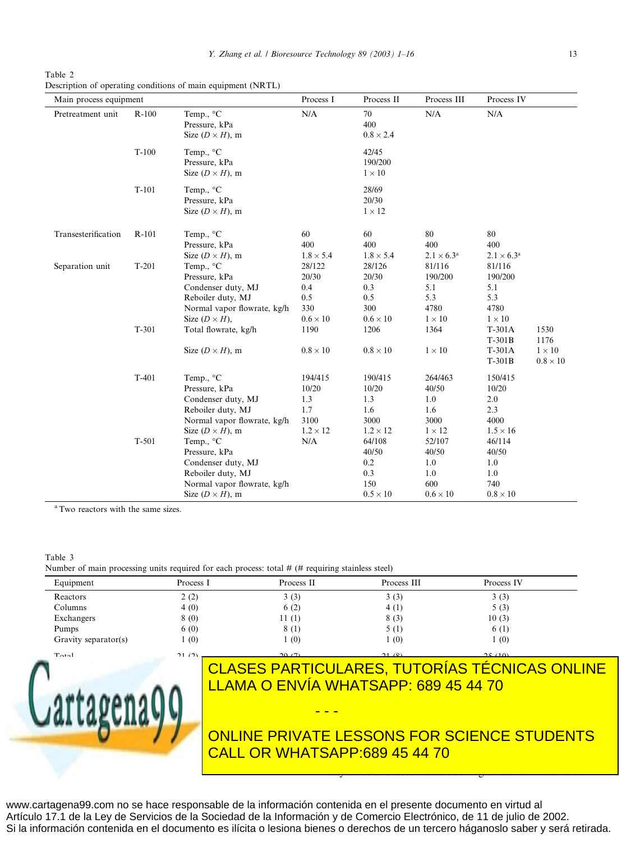|  | Y. Zhang et al. / Bioresource Technology 89 (2003) 1-16 |  |
|--|---------------------------------------------------------|--|
|--|---------------------------------------------------------|--|

| Table 2                                                      |  |
|--------------------------------------------------------------|--|
| Description of operating conditions of main equipment (NRTL) |  |

| Main process equipment |         |                                                                                                                                                            | Process I                                                 | Process II                                                | Process III                                              | Process IV                                                            |                               |
|------------------------|---------|------------------------------------------------------------------------------------------------------------------------------------------------------------|-----------------------------------------------------------|-----------------------------------------------------------|----------------------------------------------------------|-----------------------------------------------------------------------|-------------------------------|
| Pretreatment unit      | $R-100$ | Temp., °C<br>Pressure, kPa<br>Size $(D \times H)$ , m                                                                                                      | N/A                                                       | 70<br>400<br>$0.8\times2.4$                               | N/A                                                      | N/A                                                                   |                               |
|                        | $T-100$ | Temp., $^{\circ}$ C<br>Pressure, kPa<br>Size $(D \times H)$ , m                                                                                            |                                                           | 42/45<br>190/200<br>$1 \times 10$                         |                                                          |                                                                       |                               |
|                        | $T-101$ | Temp., $^{\circ}$ C<br>Pressure, kPa<br>Size $(D \times H)$ , m                                                                                            |                                                           | 28/69<br>20/30<br>$1 \times 12$                           |                                                          |                                                                       |                               |
| Transesterification    | $R-101$ | Temp., °C<br>Pressure, kPa<br>Size $(D \times H)$ , m                                                                                                      | 60<br>400<br>$1.8 \times 5.4$                             | 60<br>400<br>$1.8 \times 5.4$                             | 80<br>400<br>$2.1\times6.3^{\rm a}$                      | 80<br>400<br>$2.1 \times 6.3^{\rm a}$                                 |                               |
| Separation unit        | $T-201$ | Temp., °C<br>Pressure, kPa<br>Condenser duty, MJ<br>Reboiler duty, MJ<br>Normal vapor flowrate, kg/h<br>Size $(D \times H)$ ,                              | 28/122<br>20/30<br>0.4<br>0.5<br>330<br>$0.6 \times 10$   | 28/126<br>20/30<br>0.3<br>0.5<br>300<br>$0.6 \times 10$   | 81/116<br>190/200<br>5.1<br>5.3<br>4780<br>$1 \times 10$ | 81/116<br>190/200<br>5.1<br>5.3<br>4780<br>$1 \times 10$              |                               |
|                        | $T-301$ | Total flowrate, kg/h<br>Size $(D \times H)$ , m                                                                                                            | 1190<br>$0.8 \times 10$                                   | 1206<br>$0.8 \times 10$                                   | 1364<br>$1 \times 10$                                    | T-301A<br>$T-301B$<br>T-301A                                          | 1530<br>1176<br>$1 \times 10$ |
|                        | $T-401$ | Temp., °C<br>Pressure, kPa<br>Condenser duty, MJ<br>Reboiler duty, MJ<br>Normal vapor flowrate, kg/h                                                       | 194/415<br>10/20<br>1.3<br>1.7<br>3100<br>$1.2 \times 12$ | 190/415<br>10/20<br>1.3<br>1.6<br>3000<br>$1.2 \times 12$ | 264/463<br>40/50<br>1.0<br>1.6<br>3000<br>$1 \times 12$  | $T-301B$<br>150/415<br>10/20<br>2.0<br>2.3<br>4000<br>$1.5 \times 16$ | $0.8\times10$                 |
|                        | $T-501$ | Size $(D \times H)$ , m<br>Temp., °C<br>Pressure, kPa<br>Condenser duty, MJ<br>Reboiler duty, MJ<br>Normal vapor flowrate, kg/h<br>Size $(D \times H)$ , m | N/A                                                       | 64/108<br>40/50<br>0.2<br>0.3<br>150<br>$0.5 \times 10$   | 52/107<br>40/50<br>1.0<br>1.0<br>600<br>$0.6 \times 10$  | 46/114<br>40/50<br>1.0<br>1.0<br>740<br>$0.8 \times 10$               |                               |

<sup>a</sup>Two reactors with the same sizes.

Table 3<br>Number of m each process: total  $H(H)$  requiring stainless steel)

| Equipment            | Process I | Process II | Process III | Process IV |
|----------------------|-----------|------------|-------------|------------|
| Reactors             | 2(2)      | 3(3)       | 3(3)        | 3(3)       |
| Columns              | 4(0)      | 6(2)       | 4(1)        | 5(3)       |
| Exchangers           | 8 (0)     | 11(1)      | 8(3)        | 10(3)      |
| Pumps                | 6(0)      | 8(1)       | 5(1)        | 6(1)       |
| Gravity separator(s) | (0)       | 1(0)       | 1(0)        | (0)        |

- - -



## CLASES PARTICULARES, TUTORÍAS TÉCNICAS ONLINE LLAMA O ENVÍA WHATSAPP: 689 45 44 70

The pretreatment required in the algebra  $\mathcal{O}(n)$ 

fatty acids and used waste cooking oil as raw material.

**Necessary in Tables 20 and 3. The Sizes of Major 2012 in the Sizes of Major 2013** The total number of major processing units in the major processing units in each  $\frac{1}{2}$ with free fatty and processes in processes in processes in processes in processes I. Processes I. Processes I.<br>Processes CALL OR WHATSAPP:689 45 44 70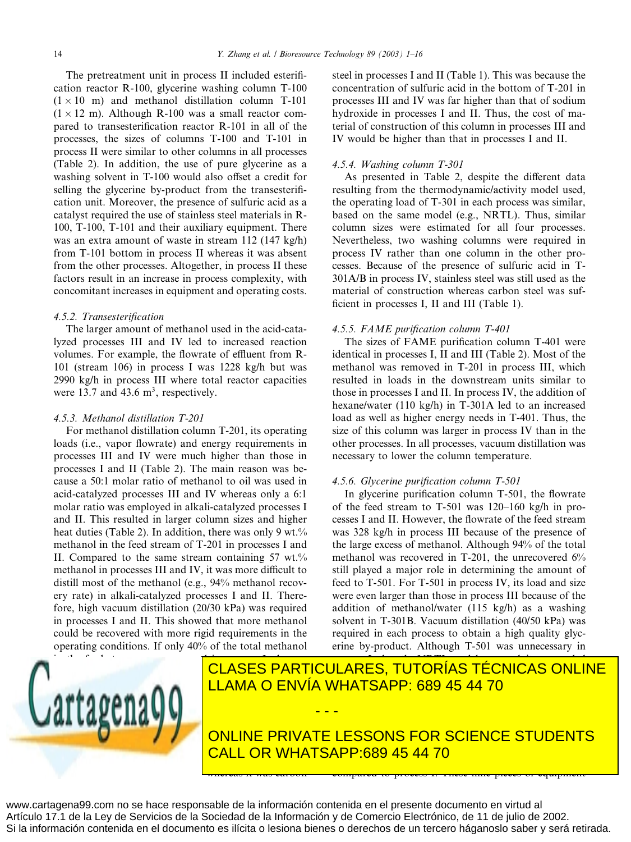The pretreatment unit in process II included esterification reactor R-100, glycerine washing column T-100  $(1 \times 10$  m) and methanol distillation column T-101  $(1 \times 12 \text{ m})$ . Although R-100 was a small reactor compared to transesterification reactor R-101 in all of the processes, the sizes of columns T-100 and T-101 in process II were similar to other columns in all processes (Table 2). In addition, the use of pure glycerine as a washing solvent in T-100 would also offset a credit for selling the glycerine by-product from the transesterification unit. Moreover, the presence of sulfuric acid as a catalyst required the use of stainless steel materials in R-100, T-100, T-101 and their auxiliary equipment. There was an extra amount of waste in stream 112 (147 kg/h) from T-101 bottom in process II whereas it was absent from the other processes. Altogether, in process II these factors result in an increase in process complexity, with concomitant increases in equipment and operating costs.

### 4.5.2. Transesterification

The larger amount of methanol used in the acid-catalyzed processes III and IV led to increased reaction volumes. For example, the flowrate of effluent from R-101 (stream 106) in process I was 1228 kg/h but was 2990 kg/h in process III where total reactor capacities were 13.7 and 43.6  $m<sup>3</sup>$ , respectively.

### 4.5.3. Methanol distillation T-201

For methanol distillation column T-201, its operating loads (i.e., vapor flowrate) and energy requirements in processes III and IV were much higher than those in processes I and II (Table 2). The main reason was because a 50:1 molar ratio of methanol to oil was used in acid-catalyzed processes III and IV whereas only a 6:1 molar ratio was employed in alkali-catalyzed processes I and II. This resulted in larger column sizes and higher heat duties (Table 2). In addition, there was only 9 wt.% methanol in the feed stream of T-201 in processes I and II. Compared to the same stream containing 57 wt.% methanol in processes III and IV, it was more difficult to distill most of the methanol (e.g., 94% methanol recovery rate) in alkali-catalyzed processes I and II. Therefore, high vacuum distillation (20/30 kPa) was required in processes I and II. This showed that more methanol could be recovered with more rigid requirements in the operating conditions. If only 40% of the total methanol

(allow 20) in processes II and IV whereas it was carbon

steel in processes I and II (Table 1). This was because the concentration of sulfuric acid in the bottom of T-201 in processes III and IV was far higher than that of sodium hydroxide in processes I and II. Thus, the cost of material of construction of this column in processes III and IV would be higher than that in processes I and II.

#### 4.5.4. Washing column T-301

As presented in Table 2, despite the different data resulting from the thermodynamic/activity model used, the operating load of T-301 in each process was similar, based on the same model (e.g., NRTL). Thus, similar column sizes were estimated for all four processes. Nevertheless, two washing columns were required in process IV rather than one column in the other processes. Because of the presence of sulfuric acid in T-301A/B in process IV, stainless steel was still used as the material of construction whereas carbon steel was sufficient in processes I, II and III (Table 1).

### 4.5.5. FAME purification column T-401

The sizes of FAME purification column T-401 were identical in processes I, II and III (Table 2). Most of the methanol was removed in T-201 in process III, which resulted in loads in the downstream units similar to those in processes I and II. In process IV, the addition of hexane/water (110 kg/h) in T-301A led to an increased load as well as higher energy needs in T-401. Thus, the size of this column was larger in process IV than in the other processes. In all processes, vacuum distillation was necessary to lower the column temperature.

### 4.5.6. Glycerine purification column T-501

In glycerine purification column T-501, the flowrate of the feed stream to T-501 was 120–160 kg/h in processes I and II. However, the flowrate of the feed stream was 328 kg/h in process III because of the presence of the large excess of methanol. Although 94% of the total methanol was recovered in T-201, the unrecovered 6% still played a major role in determining the amount of feed to T-501. For T-501 in process IV, its load and size were even larger than those in process III because of the addition of methanol/water (115 kg/h) as a washing solvent in T-301B. Vacuum distillation (40/50 kPa) was required in each process to obtain a high quality glycerine by-product. Although T-501 was unnecessary in

kali-catalyzed processes I and II are smaller than those

compared to process I. These nine pieces of equipment



<u>c. C. Into the pretreatment unit is not taken in the pretreatment unit is not taken in the pretreatment unit is no</u>  $p = \frac{1}{2}$  when  $\frac{1}{2}$  we use  $\frac{1}{2}$  was neglected, it was neglected, it was neglected, it was neglected, it was neglected, it was neglected, it was neglected, it was neglected, it was neglected, it was neglected, <u>CLASES PARTICULARES, TUTORÍAS TÉCNICAS ONLINE</u>

posal expenses and reactant costs would increase. Process II had reactant costs in the carbon steel. Process I ONLINE PRIVATE LESSONS FOR SCIENCE STUDENTS  $\frac{1}{2}$  the highest number of units with an extra nine pieces  $\frac{1}{2}$ 

www.cartagena99.com no se hace responsable de la información contenida en el presente documento en virtud al Artículo 17.1 de la Ley de Servicios de la Sociedad de la Información y de Comercio Electrónico, de 11 de julio de 2002. Si la información contenida en el documento es ilícita o lesiona bienes o derechos de un tercero háganoslo saber y será retirada.

- - -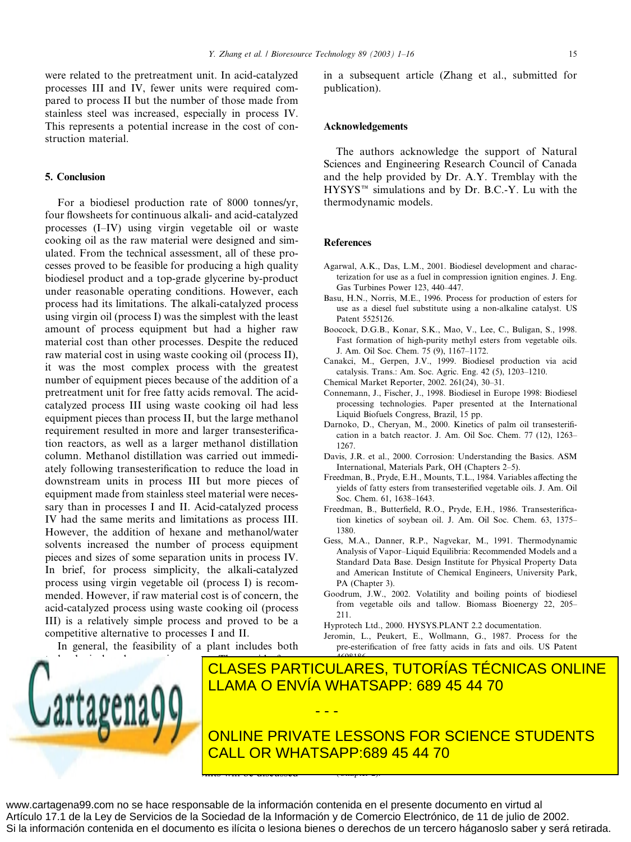were related to the pretreatment unit. In acid-catalyzed processes III and IV, fewer units were required compared to process II but the number of those made from stainless steel was increased, especially in process IV. This represents a potential increase in the cost of construction material.

### 5. Conclusion

For a biodiesel production rate of 8000 tonnes/yr, four flowsheets for continuous alkali- and acid-catalyzed processes (I–IV) using virgin vegetable oil or waste cooking oil as the raw material were designed and simulated. From the technical assessment, all of these processes proved to be feasible for producing a high quality biodiesel product and a top-grade glycerine by-product under reasonable operating conditions. However, each process had its limitations. The alkali-catalyzed process using virgin oil (process I) was the simplest with the least amount of process equipment but had a higher raw material cost than other processes. Despite the reduced raw material cost in using waste cooking oil (process II), it was the most complex process with the greatest number of equipment pieces because of the addition of a pretreatment unit for free fatty acids removal. The acidcatalyzed process III using waste cooking oil had less equipment pieces than process II, but the large methanol requirement resulted in more and larger transesterification reactors, as well as a larger methanol distillation column. Methanol distillation was carried out immediately following transesterification to reduce the load in downstream units in process III but more pieces of equipment made from stainless steel material were necessary than in processes I and II. Acid-catalyzed process IV had the same merits and limitations as process III. However, the addition of hexane and methanol/water solvents increased the number of process equipment pieces and sizes of some separation units in process IV. In brief, for process simplicity, the alkali-catalyzed process using virgin vegetable oil (process I) is recommended. However, if raw material cost is of concern, the acid-catalyzed process using waste cooking oil (process III) is a relatively simple process and proved to be a competitive alternative to processes I and II.

In general, the feasibility of a plant includes both

ences on the results. All of the results will be discussed

in a subsequent article (Zhang et al., submitted for publication).

### Acknowledgements

The authors acknowledge the support of Natural Sciences and Engineering Research Council of Canada and the help provided by Dr. A.Y. Tremblay with the  $HYSYS^m$  simulations and by Dr. B.C.-Y. Lu with the thermodynamic models.

#### **References**

- Agarwal, A.K., Das, L.M., 2001. Biodiesel development and characterization for use as a fuel in compression ignition engines. J. Eng. Gas Turbines Power 123, 440–447.
- Basu, H.N., Norris, M.E., 1996. Process for production of esters for use as a diesel fuel substitute using a non-alkaline catalyst. US Patent 5525126.
- Boocock, D.G.B., Konar, S.K., Mao, V., Lee, C., Buligan, S., 1998. Fast formation of high-purity methyl esters from vegetable oils. J. Am. Oil Soc. Chem. 75 (9), 1167–1172.
- Canakci, M., Gerpen, J.V., 1999. Biodiesel production via acid catalysis. Trans.: Am. Soc. Agric. Eng. 42 (5), 1203–1210.
- Chemical Market Reporter, 2002. 261(24), 30–31.
- Connemann, J., Fischer, J., 1998. Biodiesel in Europe 1998: Biodiesel processing technologies. Paper presented at the International Liquid Biofuels Congress, Brazil, 15 pp.
- Darnoko, D., Cheryan, M., 2000. Kinetics of palm oil transesterification in a batch reactor. J. Am. Oil Soc. Chem. 77 (12), 1263– 1267.
- Davis, J.R. et al., 2000. Corrosion: Understanding the Basics. ASM International, Materials Park, OH (Chapters 2–5).
- Freedman, B., Pryde, E.H., Mounts, T.L., 1984. Variables affecting the yields of fatty esters from transesterified vegetable oils. J. Am. Oil Soc. Chem. 61, 1638–1643.
- Freedman, B., Butterfield, R.O., Pryde, E.H., 1986. Transesterification kinetics of soybean oil. J. Am. Oil Soc. Chem. 63, 1375– 1380.
- Gess, M.A., Danner, R.P., Nagvekar, M., 1991. Thermodynamic Analysis of Vapor–Liquid Equilibria: Recommended Models and a Standard Data Base. Design Institute for Physical Property Data and American Institute of Chemical Engineers, University Park, PA (Chapter 3).
- Goodrum, J.W., 2002. Volatility and boiling points of biodiesel from vegetable oils and tallow. Biomass Bioenergy 22, 205– 211.

Jeromin, L., Peukert, E., Wollmann, G., 1987. Process for the pre-esterification of free fatty acids in fats and oils. US Patent



process designs for biodiesel, and the refining of the refining step of the refining step of the refining step of the refining step of the refining step of the refining step of the refining step of the refining step of the **Models NRTL and UNIQUACE. CONSIDERATION MUST BE SOURCE STREET MUST BE SOURCE STREET AND THE STREET OF SCIENCE ST** taken of the sensitivity of the results to the results to the results to the results to the the the theorem of <u>CLASES PARTICULARES, TUTORÍAS TÉCNICAS ONLINE</u> <u>LLAMA O ENVÍA WHATSAPP: 689 45 44 70</u> American, an encouraging prospect. Renew. Energy 16, 1078– <u>ONLINE PRIVATE LESSONS FOR SCIENCE STUDENTS</u> - - -

<u>4608186.</u>

<mark>, Chapter 2)</mark>

Hyprotech Ltd., 2000. HYSYS.PLANT 2.2 documentation.